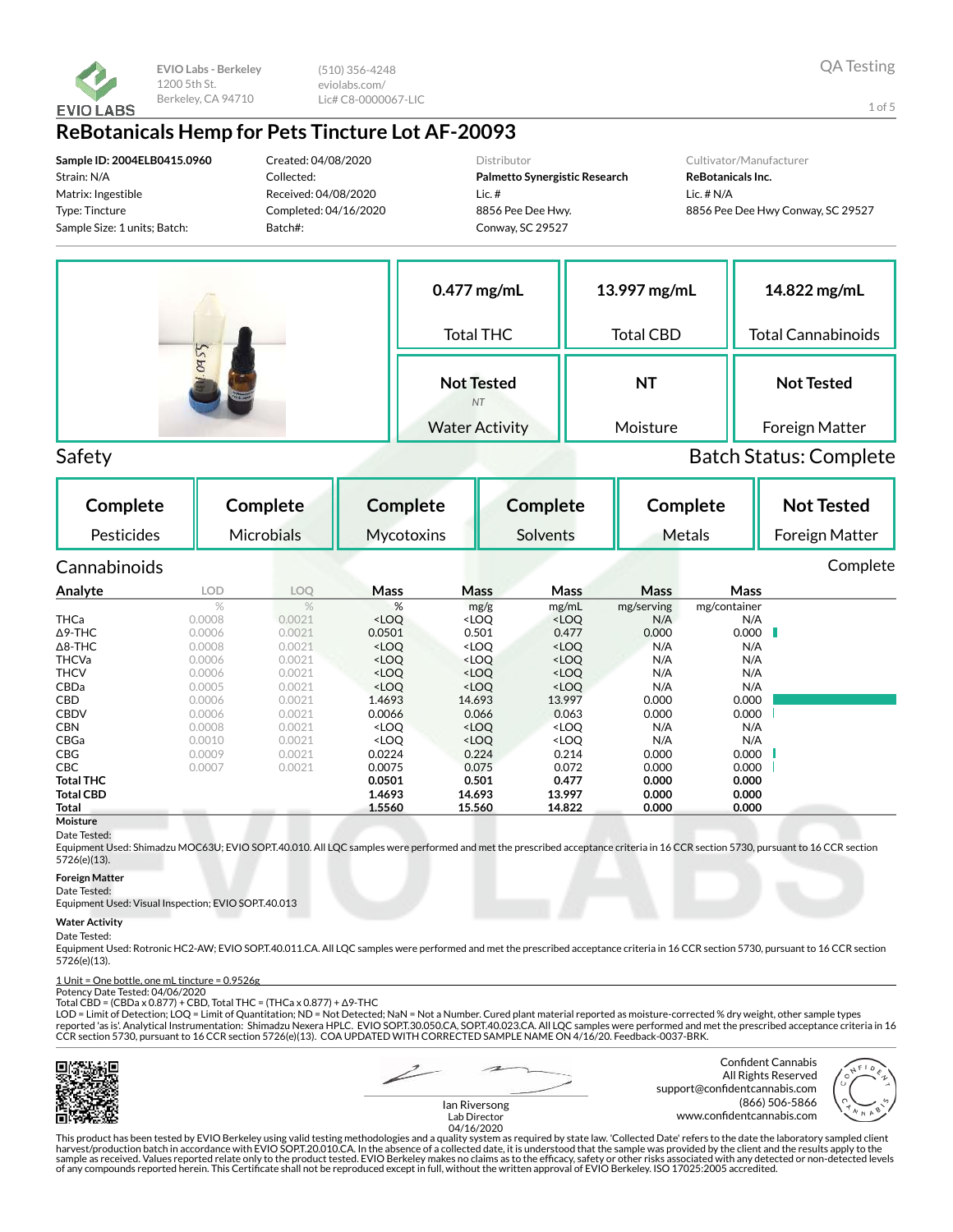

(510) 356-4248 eviolabs.com/ Lic# C8-0000067-LIC

## **ReBotanicals Hemp for Pets Tincture Lot AF-20093**

**Sample ID: 2004ELB0415.0960** Strain: N/A Matrix: Ingestible Type: Tincture Sample Size: 1 units; Batch:

Created: 04/08/2020 Collected: Received: 04/08/2020 Completed: 04/16/2020 Batch#:

Distributor

**Palmetto Synergistic Research** Lic. # 8856 Pee Dee Hwy. Conway, SC 29527

#### Cultivator/Manufacturer

**ReBotanicals Inc.** Lic. # N/A 8856 Pee Dee Hwy Conway, SC 29527



Safety Batch Status: Complete

| Complete         |            | Complete          | <b>Complete</b>                                                                                                        |                                                                                           | <b>Complete</b>                                               |             | Complete     | <b>Not Tested</b> |  |
|------------------|------------|-------------------|------------------------------------------------------------------------------------------------------------------------|-------------------------------------------------------------------------------------------|---------------------------------------------------------------|-------------|--------------|-------------------|--|
| Pesticides       |            | <b>Microbials</b> | Mycotoxins                                                                                                             |                                                                                           | Solvents                                                      |             | Metals       | Foreign Matter    |  |
| Cannabinoids     |            |                   |                                                                                                                        |                                                                                           |                                                               |             |              | Complete          |  |
| Analyte          | <b>LOD</b> | LOQ               | <b>Mass</b>                                                                                                            | Mass                                                                                      | Mass                                                          | <b>Mass</b> | Mass         |                   |  |
|                  | $\%$       | $\%$              | %                                                                                                                      | mg/g                                                                                      | mg/mL                                                         | mg/serving  | mg/container |                   |  |
| <b>THCa</b>      | 0.0008     | 0.0021            | <loq< td=""><td><loq< td=""><td><loq< td=""><td>N/A</td><td>N/A</td><td></td><td></td></loq<></td></loq<></td></loq<>  | <loq< td=""><td><loq< td=""><td>N/A</td><td>N/A</td><td></td><td></td></loq<></td></loq<> | <loq< td=""><td>N/A</td><td>N/A</td><td></td><td></td></loq<> | N/A         | N/A          |                   |  |
| $\Delta$ 9-THC   | 0.0006     | 0.0021            | 0.0501                                                                                                                 | 0.501                                                                                     | 0.477                                                         | 0.000       | 0.000        |                   |  |
| $\Delta$ 8-THC   | 0.0008     | 0.0021            | <loq< td=""><td><loq< td=""><td><loq< td=""><td>N/A</td><td>N/A</td><td></td><td></td></loq<></td></loq<></td></loq<>  | <loq< td=""><td><loq< td=""><td>N/A</td><td>N/A</td><td></td><td></td></loq<></td></loq<> | <loq< td=""><td>N/A</td><td>N/A</td><td></td><td></td></loq<> | N/A         | N/A          |                   |  |
| <b>THCVa</b>     | 0.0006     | 0.0021            | <loq< td=""><td><math>&lt;</math>LOQ</td><td><loq< td=""><td>N/A</td><td>N/A</td><td></td><td></td></loq<></td></loq<> | $<$ LOQ                                                                                   | <loq< td=""><td>N/A</td><td>N/A</td><td></td><td></td></loq<> | N/A         | N/A          |                   |  |
| <b>THCV</b>      | 0.0006     | 0.0021            | <loq< td=""><td><math>&lt;</math>LOQ</td><td><loq< td=""><td>N/A</td><td>N/A</td><td></td><td></td></loq<></td></loq<> | $<$ LOQ                                                                                   | <loq< td=""><td>N/A</td><td>N/A</td><td></td><td></td></loq<> | N/A         | N/A          |                   |  |
| CBDa             | 0.0005     | 0.0021            | <loq< td=""><td><loq< td=""><td><loq< td=""><td>N/A</td><td>N/A</td><td></td><td></td></loq<></td></loq<></td></loq<>  | <loq< td=""><td><loq< td=""><td>N/A</td><td>N/A</td><td></td><td></td></loq<></td></loq<> | <loq< td=""><td>N/A</td><td>N/A</td><td></td><td></td></loq<> | N/A         | N/A          |                   |  |
| <b>CBD</b>       | 0.0006     | 0.0021            | 1.4693                                                                                                                 | 14.693                                                                                    | 13.997                                                        | 0.000       | 0.000        |                   |  |
| <b>CBDV</b>      | 0.0006     | 0.0021            | 0.0066                                                                                                                 | 0.066                                                                                     | 0.063                                                         | 0.000       | 0.000        |                   |  |
| <b>CBN</b>       | 0.0008     | 0.0021            | <loo< td=""><td><loq< td=""><td><loq< td=""><td>N/A</td><td>N/A</td><td></td><td></td></loq<></td></loq<></td></loo<>  | <loq< td=""><td><loq< td=""><td>N/A</td><td>N/A</td><td></td><td></td></loq<></td></loq<> | <loq< td=""><td>N/A</td><td>N/A</td><td></td><td></td></loq<> | N/A         | N/A          |                   |  |
| CBGa             | 0.0010     | 0.0021            | <loo< td=""><td><loq< td=""><td><loo< td=""><td>N/A</td><td>N/A</td><td></td><td></td></loo<></td></loq<></td></loo<>  | <loq< td=""><td><loo< td=""><td>N/A</td><td>N/A</td><td></td><td></td></loo<></td></loq<> | <loo< td=""><td>N/A</td><td>N/A</td><td></td><td></td></loo<> | N/A         | N/A          |                   |  |
| <b>CBG</b>       | 0.0009     | 0.0021            | 0.0224                                                                                                                 | 0.224                                                                                     | 0.214                                                         | 0.000       | 0.000        |                   |  |
| CBC              | 0.0007     | 0.0021            | 0.0075                                                                                                                 | 0.075                                                                                     | 0.072                                                         | 0.000       | 0.000        |                   |  |
| <b>Total THC</b> |            |                   | 0.0501                                                                                                                 | 0.501                                                                                     | 0.477                                                         | 0.000       | 0.000        |                   |  |
| <b>Total CBD</b> |            |                   | 1.4693                                                                                                                 | 14.693                                                                                    | 13.997                                                        | 0.000       | 0.000        |                   |  |
| Total            |            |                   | 1.5560                                                                                                                 | 15.560                                                                                    | 14.822                                                        | 0.000       | 0.000        |                   |  |
| Moisture         |            |                   |                                                                                                                        |                                                                                           |                                                               |             |              |                   |  |

#### Date Tested:

Equipment Used: Shimadzu MOC63U; EVIO SOP.T.40.010. All LQC samples were performed and met the prescribed acceptance criteria in 16 CCR section 5730, pursuant to 16 CCR section 5726(e)(13).

#### **Foreign Matter**

Date Tested: Equipment Used: Visual Inspection; EVIO SOP.T.40.013

#### **Water Activity**

#### Date Tested:

Equipment Used: Rotronic HC2-AW; EVIO SOP.T.40.011.CA. All LQC samples were performed and met the prescribed acceptance criteria in 16 CCR section 5730, pursuant to 16 CCR section 5726(e)(13).

## 1 Unit = One bottle, one mL tincture = 0.9526g Potency Date Tested: 04/06/2020

Total CBD = (CBDa x 0.877) + CBD, Total THC = (THCa x 0.877) + Δ9-THC

LOD = Limit of Detection; LOQ = Limit of Quantitation; ND = Not Detected; NaN = Not a Number. Cured plant material reported as moisture-corrected % dry weight, other sample types reported 'as is'. Analytical Instrumentation: Shimadzu Nexera HPLC. EVIO SOPT.30.050.CA, SOPT.40.023.CA. All LQC samples were performed and met the prescribed acceptance criteria in 16 CCR section 5730, pursuant to 16 CCR section 5726(e)(13). COA UPDATED WITH CORRECTED SAMPLE NAME ON 4/16/20. Feedback-0037-BRK.



Confident Cannabis All Rights Reserved support@confidentcannabis.com (866) 506-5866 www.confidentcannabis.com

Ian Riversong Lab Director 04/16/2020

This product has been tested by EVIO Berkeley using valid testing methodologies and a quality system as required by state law. 'Collected Date' refers to the date the laboratory sampled client<br>harvest/production batch in a of any compounds reported herein. This Certificate shall not be reproduced except in full, without the written approval of EVIO Berkeley. ISO 17025:2005 accredited.

1 of 5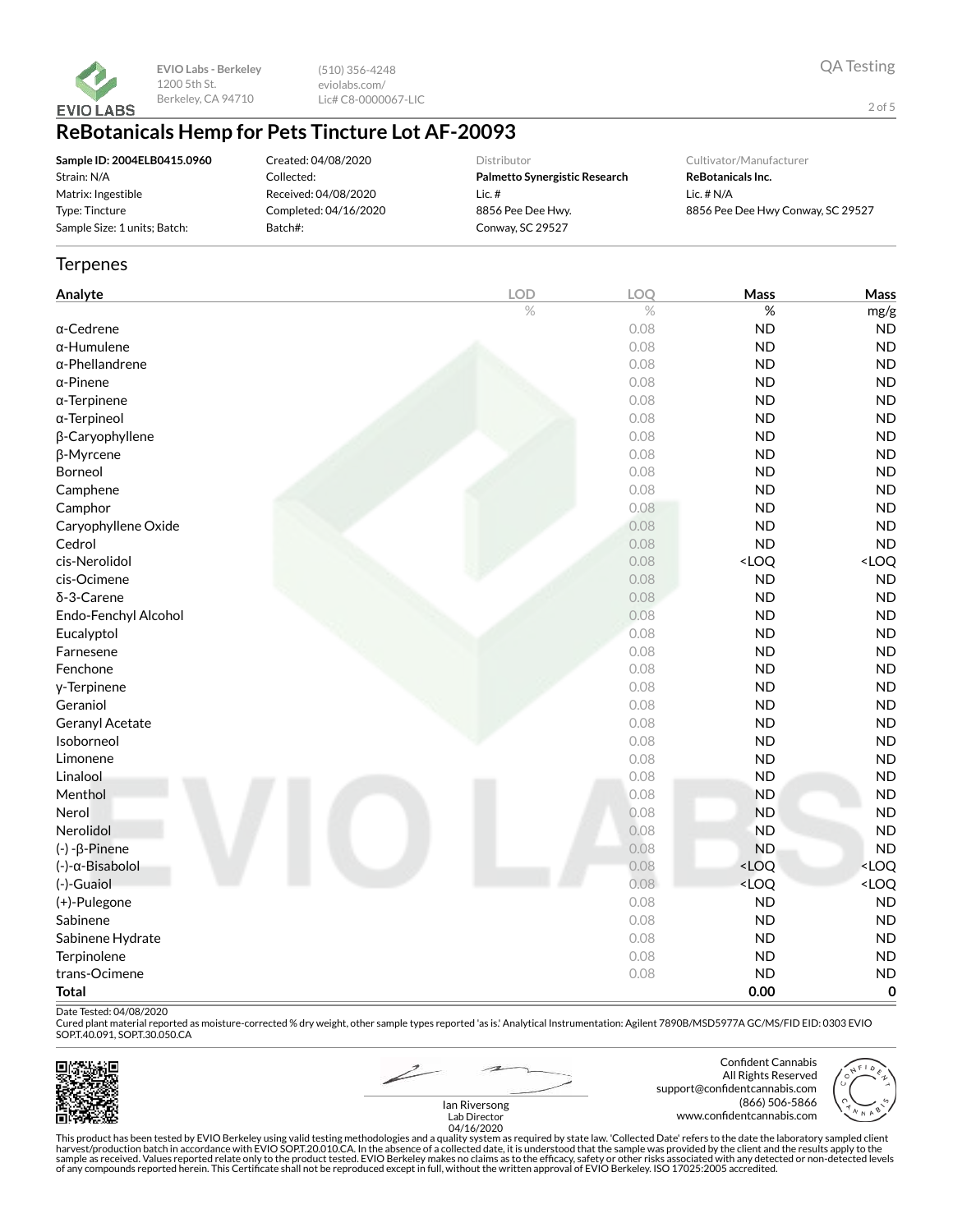

(510) 356-4248 eviolabs.com/ Lic# C8-0000067-LIC

# **ReBotanicals Hemp for Pets Tincture Lot AF-20093**

| Sample ID: 2004ELB0415.0960  |
|------------------------------|
| Strain: N/A                  |
| Matrix: Ingestible           |
| Type: Tincture               |
| Sample Size: 1 units; Batch: |

Created: 04/08/2020 Collected: Received: 04/08/2020 Completed: 04/16/2020 Batch#:

Distributor

**Palmetto Synergistic Research** Lic. # 8856 Pee Dee Hwy. Conway, SC 29527

Cultivator/Manufacturer

**ReBotanicals Inc.** Lic. # N/A 8856 Pee Dee Hwy Conway, SC 29527

### **Terpenes**

| Analyte                | <b>LOD</b> | LOQ  | Mass                                              | Mass                |
|------------------------|------------|------|---------------------------------------------------|---------------------|
|                        | $\%$       | $\%$ | $\%$                                              | mg/g                |
| $\alpha$ -Cedrene      |            | 0.08 | <b>ND</b>                                         | <b>ND</b>           |
| $\alpha$ -Humulene     |            | 0.08 | <b>ND</b>                                         | <b>ND</b>           |
| $\alpha$ -Phellandrene |            | 0.08 | <b>ND</b>                                         | <b>ND</b>           |
| $\alpha$ -Pinene       |            | 0.08 | <b>ND</b>                                         | <b>ND</b>           |
| $\alpha$ -Terpinene    |            | 0.08 | <b>ND</b>                                         | <b>ND</b>           |
| α-Terpineol            |            | 0.08 | <b>ND</b>                                         | <b>ND</b>           |
| β-Caryophyllene        |            | 0.08 | <b>ND</b>                                         | <b>ND</b>           |
| β-Myrcene              |            | 0.08 | <b>ND</b>                                         | <b>ND</b>           |
| Borneol                |            | 0.08 | <b>ND</b>                                         | ND                  |
| Camphene               |            | 0.08 | <b>ND</b>                                         | <b>ND</b>           |
| Camphor                |            | 0.08 | <b>ND</b>                                         | <b>ND</b>           |
| Caryophyllene Oxide    |            | 0.08 | <b>ND</b>                                         | <b>ND</b>           |
| Cedrol                 |            | 0.08 | <b>ND</b>                                         | ND                  |
| cis-Nerolidol          |            | 0.08 | <loq< td=""><td><math>&lt;</math> LOQ</td></loq<> | $<$ LOQ             |
| cis-Ocimene            |            | 0.08 | <b>ND</b>                                         | <b>ND</b>           |
| $\delta$ -3-Carene     |            | 0.08 | <b>ND</b>                                         | <b>ND</b>           |
| Endo-Fenchyl Alcohol   |            | 0.08 | <b>ND</b>                                         | <b>ND</b>           |
| Eucalyptol             |            | 0.08 | <b>ND</b>                                         | <b>ND</b>           |
| Farnesene              |            | 0.08 | <b>ND</b>                                         | <b>ND</b>           |
| Fenchone               |            | 0.08 | <b>ND</b>                                         | ND                  |
| y-Terpinene            |            | 0.08 | <b>ND</b>                                         | <b>ND</b>           |
| Geraniol               |            | 0.08 | <b>ND</b>                                         | <b>ND</b>           |
| Geranyl Acetate        |            | 0.08 | <b>ND</b>                                         | <b>ND</b>           |
| Isoborneol             |            | 0.08 | <b>ND</b>                                         | <b>ND</b>           |
| Limonene               |            | 0.08 | <b>ND</b>                                         | <b>ND</b>           |
| Linalool               |            | 0.08 | <b>ND</b>                                         | <b>ND</b>           |
| Menthol                |            | 0.08 | <b>ND</b>                                         | <b>ND</b>           |
| Nerol                  |            | 0.08 | <b>ND</b>                                         | ND                  |
| Nerolidol              |            | 0.08 | <b>ND</b>                                         | <b>ND</b>           |
| $(-) - \beta$ -Pinene  |            | 0.08 | <b>ND</b>                                         | <b>ND</b>           |
| (-)-α-Bisabolol        |            | 0.08 | $<$ LOQ                                           | <loq< td=""></loq<> |
| (-)-Guaiol             |            | 0.08 | <loq< td=""><td><loq< td=""></loq<></td></loq<>   | <loq< td=""></loq<> |
| (+)-Pulegone           |            | 0.08 | <b>ND</b>                                         | <b>ND</b>           |
| Sabinene               |            | 0.08 | <b>ND</b>                                         | <b>ND</b>           |
| Sabinene Hydrate       |            | 0.08 | <b>ND</b>                                         | <b>ND</b>           |
| Terpinolene            |            | 0.08 | <b>ND</b>                                         | <b>ND</b>           |
| trans-Ocimene          |            | 0.08 | <b>ND</b>                                         | <b>ND</b>           |
| <b>Total</b>           |            |      | 0.00                                              | $\pmb{0}$           |

Date Tested: 04/08/2020

Cured plant material reported as moisture-corrected % dry weight, other sample types reported 'as is.' Analytical Instrumentation: Agilent 7890B/MSD5977A GC/MS/FID EID: 0303 EVIO SOP.T.40.091, SOP.T.30.050.CA



Confident Cannabis All Rights Reserved support@confidentcannabis.com (866) 506-5866 www.confidentcannabis.com

QA Testing

2 of 5

Ian Riversong Lab Director 04/16/2020

This product has been tested by EVIO Berkeley using valid testing methodologies and a quality system as required by state law. 'Collected Date' refers to the date the laboratory sampled client<br>harvest/production batch in a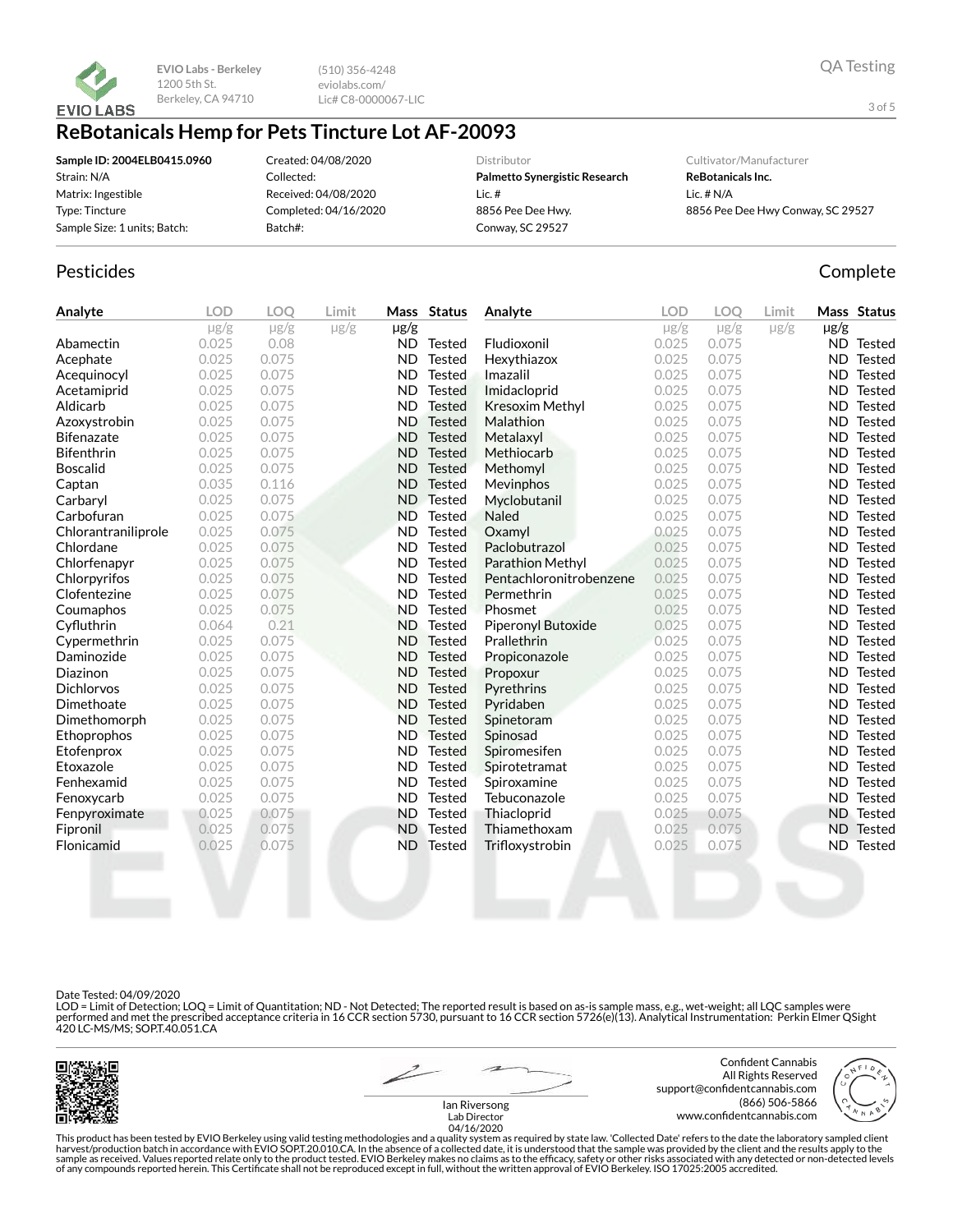

(510) 356-4248 eviolabs.com/ Lic# C8-0000067-LIC

## **ReBotanicals Hemp for Pets Tincture Lot AF-20093**

| Sample ID: 2004ELB0415.0960  |
|------------------------------|
| Strain: N/A                  |
| Matrix: Ingestible           |
| Type: Tincture               |
| Sample Size: 1 units; Batch: |

Created: 04/08/2020 Collected: Received: 04/08/2020 Completed: 04/16/2020 Batch#:

Distributor

**Palmetto Synergistic Research** Lic. # 8856 Pee Dee Hwy. Conway, SC 29527

Cultivator/Manufacturer

**ReBotanicals Inc.** Lic. # N/A 8856 Pee Dee Hwy Conway, SC 29527

## Pesticides **Complete**

| Analyte             | <b>LOD</b> | <b>LOO</b> | Limit     |           | Mass Status   | Analyte                 | <b>LOD</b> | LOO       | Limit     |           | Mass Status      |
|---------------------|------------|------------|-----------|-----------|---------------|-------------------------|------------|-----------|-----------|-----------|------------------|
|                     | $\mu$ g/g  | $\mu$ g/g  | $\mu$ g/g | µg/g      |               |                         | $\mu$ g/g  | $\mu$ g/g | $\mu$ g/g | $\mu$ g/g |                  |
| Abamectin           | 0.025      | 0.08       |           | ND.       | Tested        | Fludioxonil             | 0.025      | 0.075     |           |           | ND Tested        |
| Acephate            | 0.025      | 0.075      |           | <b>ND</b> | <b>Tested</b> | Hexythiazox             | 0.025      | 0.075     |           |           | ND Tested        |
| Acequinocyl         | 0.025      | 0.075      |           | <b>ND</b> | <b>Tested</b> | Imazalil                | 0.025      | 0.075     |           | ND.       | Tested           |
| Acetamiprid         | 0.025      | 0.075      |           | <b>ND</b> | <b>Tested</b> | Imidacloprid            | 0.025      | 0.075     |           | ND.       | Tested           |
| Aldicarb            | 0.025      | 0.075      |           | <b>ND</b> | <b>Tested</b> | <b>Kresoxim Methyl</b>  | 0.025      | 0.075     |           | ND.       | Tested           |
| Azoxystrobin        | 0.025      | 0.075      |           | <b>ND</b> | <b>Tested</b> | Malathion               | 0.025      | 0.075     |           | ND.       | Tested           |
| <b>Bifenazate</b>   | 0.025      | 0.075      |           | <b>ND</b> | <b>Tested</b> | Metalaxyl               | 0.025      | 0.075     |           | ND.       | Tested           |
| <b>Bifenthrin</b>   | 0.025      | 0.075      |           | <b>ND</b> | <b>Tested</b> | Methiocarb              | 0.025      | 0.075     |           | <b>ND</b> | Tested           |
| <b>Boscalid</b>     | 0.025      | 0.075      |           | <b>ND</b> | <b>Tested</b> | Methomyl                | 0.025      | 0.075     |           | ND.       | <b>Tested</b>    |
| Captan              | 0.035      | 0.116      |           | <b>ND</b> | <b>Tested</b> | <b>Mevinphos</b>        | 0.025      | 0.075     |           | ND.       | Tested           |
| Carbaryl            | 0.025      | 0.075      |           | <b>ND</b> | <b>Tested</b> | Myclobutanil            | 0.025      | 0.075     |           | ND.       | Tested           |
| Carbofuran          | 0.025      | 0.075      |           | <b>ND</b> | <b>Tested</b> | <b>Naled</b>            | 0.025      | 0.075     |           | ND.       | Tested           |
| Chlorantraniliprole | 0.025      | 0.075      |           | <b>ND</b> | <b>Tested</b> | Oxamyl                  | 0.025      | 0.075     |           | ND.       | Tested           |
| Chlordane           | 0.025      | 0.075      |           | <b>ND</b> | <b>Tested</b> | Paclobutrazol           | 0.025      | 0.075     |           | ND.       | Tested           |
| Chlorfenapyr        | 0.025      | 0.075      |           | <b>ND</b> | <b>Tested</b> | Parathion Methyl        | 0.025      | 0.075     |           | ND.       | <b>Tested</b>    |
| Chlorpyrifos        | 0.025      | 0.075      |           | <b>ND</b> | <b>Tested</b> | Pentachloronitrobenzene | 0.025      | 0.075     |           | ND.       | Tested           |
| Clofentezine        | 0.025      | 0.075      |           | <b>ND</b> | <b>Tested</b> | Permethrin              | 0.025      | 0.075     |           | ND.       | Tested           |
| Coumaphos           | 0.025      | 0.075      |           | <b>ND</b> | <b>Tested</b> | Phosmet                 | 0.025      | 0.075     |           | ND.       | Tested           |
| Cyfluthrin          | 0.064      | 0.21       |           | <b>ND</b> | <b>Tested</b> | Piperonyl Butoxide      | 0.025      | 0.075     |           | ND.       | Tested           |
| Cypermethrin        | 0.025      | 0.075      |           | <b>ND</b> | <b>Tested</b> | Prallethrin             | 0.025      | 0.075     |           | ND.       | Tested           |
| Daminozide          | 0.025      | 0.075      |           | <b>ND</b> | <b>Tested</b> | Propiconazole           | 0.025      | 0.075     |           | ND.       | Tested           |
| Diazinon            | 0.025      | 0.075      |           | <b>ND</b> | <b>Tested</b> | Propoxur                | 0.025      | 0.075     |           | ND.       | Tested           |
| <b>Dichlorvos</b>   | 0.025      | 0.075      |           | <b>ND</b> | <b>Tested</b> | Pyrethrins              | 0.025      | 0.075     |           | ND.       | Tested           |
| Dimethoate          | 0.025      | 0.075      |           | <b>ND</b> | <b>Tested</b> | Pyridaben               | 0.025      | 0.075     |           | <b>ND</b> | Tested           |
| Dimethomorph        | 0.025      | 0.075      |           | <b>ND</b> | <b>Tested</b> | Spinetoram              | 0.025      | 0.075     |           | ND.       | <b>Tested</b>    |
| Ethoprophos         | 0.025      | 0.075      |           | <b>ND</b> | <b>Tested</b> | Spinosad                | 0.025      | 0.075     |           | ND.       | Tested           |
| Etofenprox          | 0.025      | 0.075      |           | <b>ND</b> | <b>Tested</b> | Spiromesifen            | 0.025      | 0.075     |           | ND.       | Tested           |
| Etoxazole           | 0.025      | 0.075      |           | <b>ND</b> | <b>Tested</b> | Spirotetramat           | 0.025      | 0.075     |           | ND.       | Tested           |
| Fenhexamid          | 0.025      | 0.075      |           | <b>ND</b> | <b>Tested</b> | Spiroxamine             | 0.025      | 0.075     |           | ND.       | Tested           |
| Fenoxycarb          | 0.025      | 0.075      |           | <b>ND</b> | <b>Tested</b> | Tebuconazole            | 0.025      | 0.075     |           | ND.       | Tested           |
| Fenpyroximate       | 0.025      | 0.075      |           | <b>ND</b> | <b>Tested</b> | Thiacloprid             | 0.025      | 0.075     |           |           | <b>ND</b> Tested |
| Fipronil            | 0.025      | 0.075      |           | <b>ND</b> | Tested        | Thiamethoxam            | 0.025      | 0.075     |           | ND.       | Tested           |
| Flonicamid          | 0.025      | 0.075      |           | <b>ND</b> | Tested        | Trifloxystrobin         | 0.025      | 0.075     |           | ND.       | <b>Tested</b>    |
|                     |            |            |           |           |               |                         |            |           |           |           |                  |

Date Tested: 04/09/2020

LOD = Limit of Detection; LOQ = Limit of Quantitation; ND - Not Detected; The reported result is based on as-is sample mass, e.g., wet-weight; all LQC samples were performed and met the prescribed acceptance criteria in 16 CCR section 5730, pursuant to 16 CCR section 5726(e)(13). Analytical Instrumentation: Perkin Elmer QSight<br>420 LC-MS/MS; SOP.T.40.051.CA



Confident Cannabis All Rights Reserved support@confidentcannabis.com (866) 506-5866 www.confidentcannabis.com

3 of 5



Ian Riversong Lab Director 04/16/2020

This product has been tested by EVIO Berkeley using valid testing methodologies and a quality system as required by state law. 'Collected Date' refers to the date the laboratory sampled client<br>harvest/production batch in a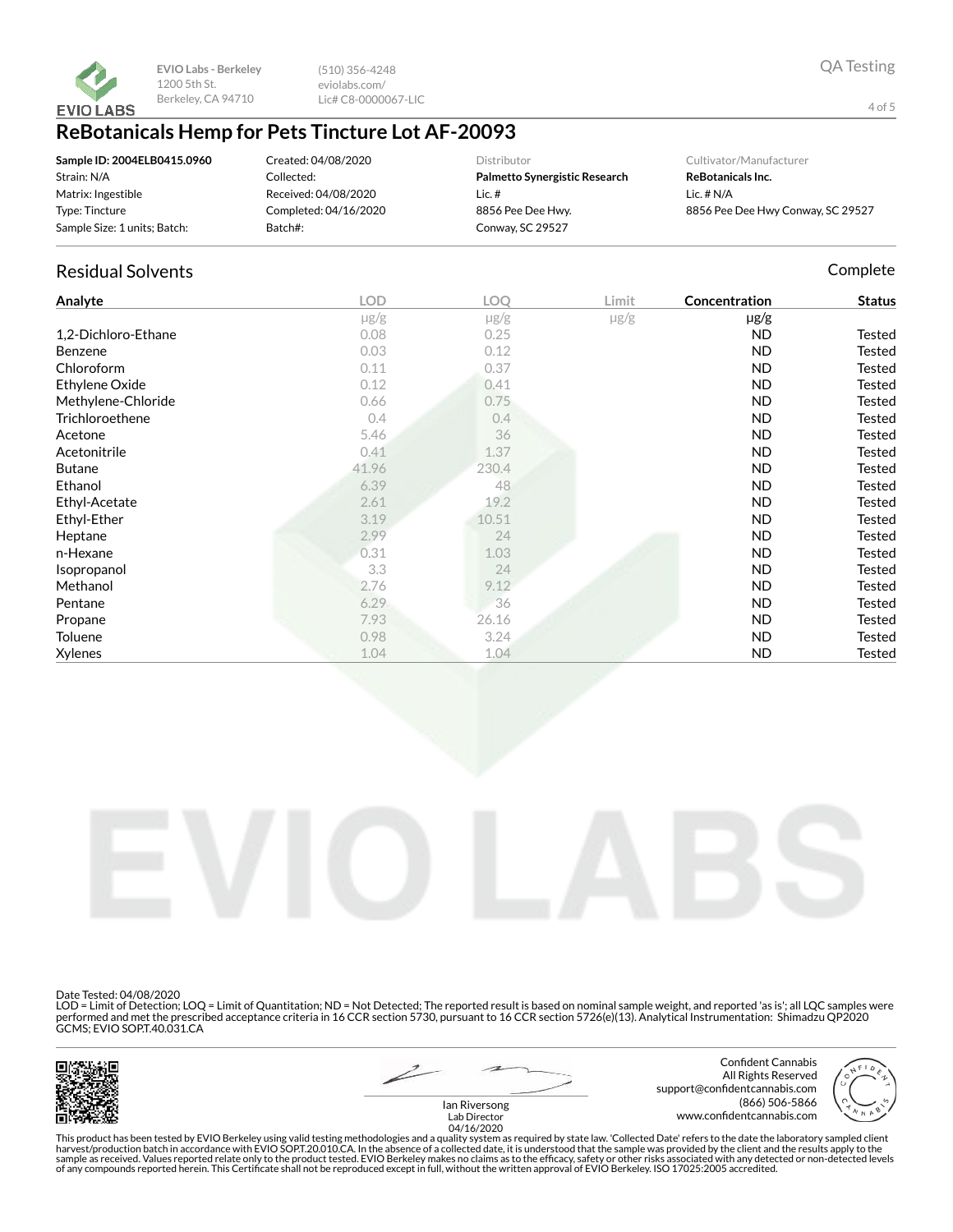

(510) 356-4248 eviolabs.com/ Lic# C8-0000067-LIC

## **ReBotanicals Hemp for Pets Tincture Lot AF-20093**

| Sample ID: 2004ELB0415.0960  | Created: 04/08/2020   | Distributor                   | Cultivator/Manufacturer           |
|------------------------------|-----------------------|-------------------------------|-----------------------------------|
| Strain: N/A                  | Collected:            | Palmetto Synergistic Research | <b>ReBotanicals Inc.</b>          |
| Matrix: Ingestible           | Received: 04/08/2020  | Lic. #                        | Lic. $# N/A$                      |
| Type: Tincture               | Completed: 04/16/2020 | 8856 Pee Dee Hwy.             | 8856 Pee Dee Hwy Conway, SC 29527 |
| Sample Size: 1 units; Batch: | Batch#:               | Conway, SC 29527              |                                   |

## Residual Solvents **Complete** Complete Complete Complete Complete Complete Complete

| Analyte             | <b>LOD</b> | <b>LOO</b> | Limit     | Concentration | <b>Status</b> |
|---------------------|------------|------------|-----------|---------------|---------------|
|                     | $\mu$ g/g  | $\mu$ g/g  | $\mu$ g/g | $\mu$ g/g     |               |
| 1,2-Dichloro-Ethane | 0.08       | 0.25       |           | <b>ND</b>     | Tested        |
| Benzene             | 0.03       | 0.12       |           | <b>ND</b>     | <b>Tested</b> |
| Chloroform          | 0.11       | 0.37       |           | <b>ND</b>     | Tested        |
| Ethylene Oxide      | 0.12       | 0.41       |           | <b>ND</b>     | Tested        |
| Methylene-Chloride  | 0.66       | 0.75       |           | <b>ND</b>     | Tested        |
| Trichloroethene     | 0.4        | 0.4        |           | <b>ND</b>     | <b>Tested</b> |
| Acetone             | 5.46       | 36         |           | <b>ND</b>     | Tested        |
| Acetonitrile        | 0.41       | 1.37       |           | <b>ND</b>     | <b>Tested</b> |
| <b>Butane</b>       | 41.96      | 230.4      |           | <b>ND</b>     | Tested        |
| Ethanol             | 6.39       | 48         |           | <b>ND</b>     | <b>Tested</b> |
| Ethyl-Acetate       | 2.61       | 19.2       |           | <b>ND</b>     | Tested        |
| Ethyl-Ether         | 3.19       | 10.51      |           | <b>ND</b>     | <b>Tested</b> |
| Heptane             | 2.99       | 24         |           | ND            | <b>Tested</b> |
| n-Hexane            | 0.31       | 1.03       |           | <b>ND</b>     | Tested        |
| Isopropanol         | 3.3        | 24         |           | <b>ND</b>     | Tested        |
| Methanol            | 2.76       | 9.12       |           | <b>ND</b>     | <b>Tested</b> |
| Pentane             | $6.29 -$   | 36         |           | <b>ND</b>     | Tested        |
| Propane             | 7.93       | 26.16      |           | <b>ND</b>     | Tested        |
| Toluene             | 0.98       | 3.24       |           | ND            | <b>Tested</b> |
| <b>Xylenes</b>      | 1.04       | 1.04       |           | <b>ND</b>     | <b>Tested</b> |



Date Tested: 04/08/2020

LOD = Limit of Detection; LOQ = Limit of Quantitation; ND = Not Detected; The reported result is based on nominal sample weight, and reported 'as is'; all LQC samples were performed and met the prescribed acceptance criteria in 16 CCR section 5730, pursuant to 16 CCR section 5726(e)(13). Analytical Instrumentation: Shimadzu QP2020 GCMS; EVIO SOP.T.40.031.CA



Confident Cannabis All Rights Reserved support@confidentcannabis.com (866) 506-5866 www.confidentcannabis.com



Ian Riversong Lab Director 04/16/2020

This product has been tested by EVIO Berkeley using valid testing methodologies and a quality system as required by state law. 'Collected Date' refers to the date the laboratory sampled client<br>harvest/production batch in a

4 of 5